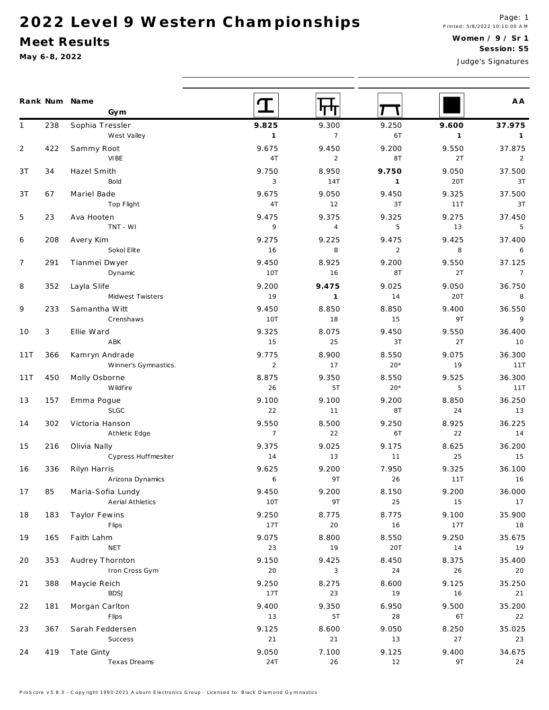### Meet Results

|                |        | Rank Num Name<br>Gym |                |                |                |                | A A            |
|----------------|--------|----------------------|----------------|----------------|----------------|----------------|----------------|
| $\mathbf{1}$   | 238    | Sophia Tressler      | 9.825          | 9.300          | 9.250          | 9.600          | 37.975         |
|                |        | West Valley          | $\overline{1}$ | $\overline{7}$ | 6T             | $\overline{1}$ | $\overline{1}$ |
| 2              | 422    | Sammy Root           | 9.675          | 9.450          | 9.200          | 9.550          | 37.875         |
|                |        | VIBE                 | 4T             | 2              | 8T             | 2T             | 2              |
| 3T             | 34     | Hazel Smith          | 9.750          | 8.950          | 9.750          | 9.050          | 37.500         |
|                |        | Bold                 | 3              | 14T            | $\mathbf{1}$   | 20T            | 3T             |
| 3T             | 67     | Mariel Bade          | 9.675          | 9.050          | 9.450          | 9.325          | 37.500         |
|                |        | Top Flight           | 4T             | 12             | 3T             | 11T            | 3T             |
| 5              | 23     | Ava Hooten           | 9.475          | 9.375          | 9.325          | 9.275          | 37.450         |
|                |        | TNT - WI             | 9              | $\overline{4}$ | 5              | 13             | 5              |
| 6              | 208    | Avery Kim            | 9.275          | 9.225          | 9.475          | 9.425          | 37.400         |
|                |        | Sokol Elite          | 16             | 8              | $\overline{2}$ | 8              | 6              |
| $\overline{7}$ | 291    | Tianmei Dwyer        | 9.450          | 8.925          | 9.200          | 9.550          | 37.125         |
|                |        | Dynamic              | 10T            | 16             | 8T             | 2T             | $\overline{7}$ |
| 8              | 352    | Layla Slife          | 9.200          | 9.475          | 9.025          | 9.050          | 36.750         |
|                |        | Midwest Twisters     | 19             | $\overline{1}$ | 14             | 20T            | 8              |
| 9              | 233    | Samantha Witt        | 9.450          | 8.850          | 8.850          | 9.400          | 36.550         |
|                |        | Crenshaws            | 10T            | 18             | 15             | 9T             | $\overline{9}$ |
| 10             | 3      | Ellie Ward           | 9.325          | 8.075          | 9.450          | 9.550          | 36.400         |
|                |        | ABK                  | 15             | 25             | 3T             | 2T             | 10             |
| 11T            | 366    | Kamryn Andrade       | 9.775          | 8.900          | 8.550          | 9.075          | 36.300         |
|                |        | Winner's Gymnastics. | 2              | 17             | $20*$          | 19             | 11T            |
| 11T            | 450    | Molly Osborne        | 8.875          | 9.350          | 8.550          | 9.525          | 36.300         |
|                |        | Wildfire             | 26             | 5T             | $20*$          | 5              | 11T            |
| 13             | 157    | Emma Pogue           | 9.100          | 9.100          | 9.200          | 8.850          | 36.250         |
|                |        | <b>SLGC</b>          | 22             | 11             | <b>8T</b>      | 24             | 13             |
| 14             | 302    | Victoria Hanson      | 9.550          | 8.500          | 9.250          | 8.925          | 36.225         |
|                |        | Athletic Edge        | $\overline{7}$ | 22             | 6T             | 22             | 14             |
| 15             | 216    | Olivia Nally         | 9.375          | 9.025          | 9.175          | 8.625          | 36.200         |
|                |        | Cypress Huffmesiter  | 14             | 13             | 11             | 25             | 15             |
| 16             | 336    | Rilyn Harris         | 9.625          | 9.200          | 7.950          | 9.325          | 36.100         |
|                |        | Arizona Dynamics     | 6              | 9T             | 26             | 11T            | 16             |
| 17             | $8\,5$ | Maria-Sofia Lundy    | 9.450          | 9.200          | 8.150          | 9.200          | 36.000         |
|                |        | Aerial Athletics     | 10T            | 9T             | 25             | 15             | 17             |
| 18             | 183    | Taylor Fewins        | 9.250          | 8.775          | 8.775          | 9.100          | 35.900         |
|                |        | Flips                | 17T            | 20             | 16             | 17T            | 18             |
| 19             | 165    | Faith Lahm           | 9.075          | 8.800          | 8.550          | 9.250          | 35.675         |
|                |        | NET                  | 23             | 19             | 20T            | 14             | 19             |
| 20             | 353    | Audrey Thornton      | 9.150          | 9.425          | 8.450          | 8.375          | 35.400         |
|                |        | Iron Cross Gym       | $20\,$         | 3              | $24$           | $26\,$         | 20             |
| 21             | 388    | Maycie Reich         | 9.250          | 8.275          | 8.600          | 9.125          | 35.250         |
|                |        | <b>BDSJ</b>          | 17T            | 23             | 19             | 16             | 21             |
| 22             | 181    | Morgan Carlton       | 9.400          | 9.350          | 6.950          | 9.500          | 35.200         |
|                |        | Flips                | 13             | 5T             | 28             | 6T             | 22             |
| 23             | 367    | Sarah Feddersen      | 9.125          | 8.600          | 9.050          | 8.250          | 35.025         |
|                |        | Success              | 21             | $21$           | 13             | 27             | 23             |
| 24             | 419    | Tate Ginty           | 9.050          | 7.100          | 9.125          | 9.400          | 34.675         |
|                |        | Texas Dreams         | 24T            | 26             | 12             | 9T             | 24             |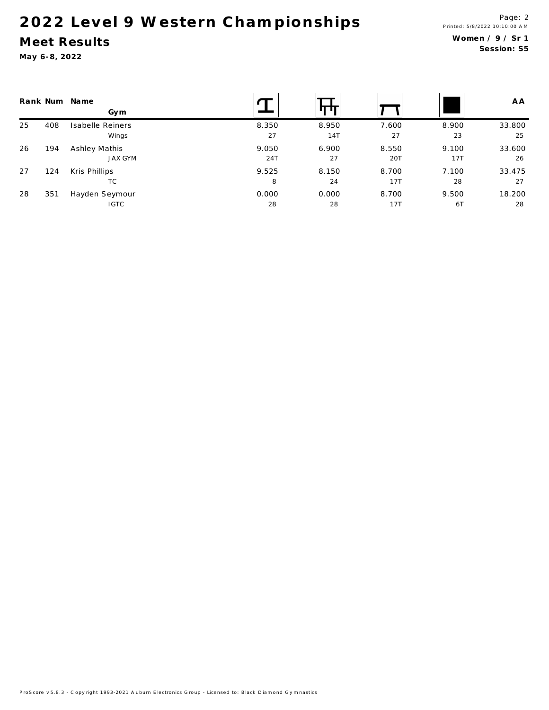### Meet Results

May 6-8, 2022

|    | Rank Num | Name<br>Gym      |       |       |       |       | A A    |
|----|----------|------------------|-------|-------|-------|-------|--------|
| 25 | 408      | Isabelle Reiners | 8.350 | 8.950 | 7.600 | 8.900 | 33.800 |
|    |          | Wings            | 27    | 14T   | 27    | 23    | 25     |
| 26 | 194      | Ashley Mathis    | 9.050 | 6.900 | 8.550 | 9.100 | 33.600 |
|    |          | <b>JAX GYM</b>   | 24T   | 27    | 20T   | 17T   | 26     |
| 27 | 124      | Kris Phillips    | 9.525 | 8.150 | 8.700 | 7.100 | 33.475 |
|    |          | TC               | 8     | 24    | 17T   | 28    | 27     |
| 28 | 351      | Hayden Seymour   | 0.000 | 0.000 | 8.700 | 9.500 | 18.200 |
|    |          | <b>IGTC</b>      | 28    | 28    | 17T   | 6T    | 28     |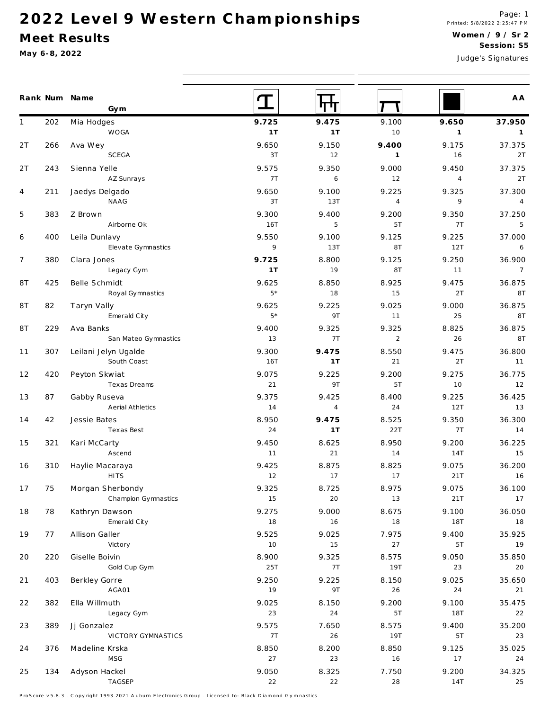#### Meet Results

May 6-8, 2022

|              |     | Rank Num Name<br>Gym                |               |                |                |                | A A            |
|--------------|-----|-------------------------------------|---------------|----------------|----------------|----------------|----------------|
| $\mathbf{1}$ | 202 | Mia Hodges                          | 9.725         | 9.475          | 9.100          | 9.650          | 37.950         |
|              |     | WOGA                                | 1T            | 1T             | 10             | $\mathbf{1}$   | $\overline{1}$ |
| 2T           | 266 | Ava Wey                             | 9.650         | 9.150          | 9.400          | 9.175          | 37.375         |
|              |     | SCEGA                               | 3T            | 12             | $\mathbf{1}$   | 16             | 2T             |
| 2T           | 243 | Sienna Yelle                        | 9.575         | 9.350          | 9.000          | 9.450          | 37.375         |
|              |     | AZ Sunrays                          | 7T            | 6              | 12             | $\overline{4}$ | 2T             |
| 4            | 211 | Jaedys Delgado                      | 9.650         | 9.100          | 9.225          | 9.325          | 37.300         |
|              |     | NAAG                                | 3T            | 13T            | $\overline{4}$ | 9              | $\overline{4}$ |
| 5            | 383 | Z Brown                             | 9.300         | 9.400          | 9.200          | 9.350          | 37.250         |
|              |     | Airborne Ok                         | 16T           | 5              | 5T             | 7T             | 5              |
| 6            | 400 | Leila Dunlavy                       | 9.550         | 9.100          | 9.125          | 9.225          | 37.000         |
|              |     | Elevate Gymnastics                  | 9             | 13T            | 8T             | 12T            | 6              |
| 7            | 380 | Clara Jones                         | 9.725         | 8.800          | 9.125          | 9.250          | 36.900         |
|              |     | Legacy Gym                          | 1T            | 19             | 8T             | 11             | $\overline{7}$ |
| 8T           | 425 | Belle Schmidt                       | 9.625<br>$5*$ | 8.850          | 8.925<br>15    | 9.475          | 36.875         |
|              |     | Royal Gymnastics                    |               | 18             |                | 2T             | 8T             |
| 8T           | 82  | Taryn Vally                         | 9.625<br>$5*$ | 9.225          | 9.025          | 9.000          | 36.875         |
|              |     | Emerald City                        |               | 9T             | 11             | 25             | <b>8T</b>      |
| 8T           | 229 | Ava Banks                           | 9.400         | 9.325          | 9.325          | 8.825          | 36.875         |
|              |     | San Mateo Gymnastics                | 13            | 7T             | $\overline{2}$ | 26             | 8T             |
| 11           | 307 | Leilani Jelyn Ugalde<br>South Coast | 9.300<br>16T  | 9.475<br>1T    | 8.550<br>21    | 9.475<br>2T    | 36.800<br>11   |
|              |     |                                     |               |                |                |                |                |
| 12           | 420 | Peyton Skwiat<br>Texas Dreams       | 9.075<br>21   | 9.225<br>9T    | 9.200<br>5T    | 9.275<br>10    | 36.775<br>12   |
| 13           | 87  |                                     | 9.375         | 9.425          | 8.400          | 9.225          | 36.425         |
|              |     | Gabby Ruseva<br>Aerial Athletics    | 14            | $\overline{4}$ | 24             | 12T            | 13             |
| 14           | 42  | Jessie Bates                        | 8.950         | 9.475          | 8.525          | 9.350          | 36.300         |
|              |     | Texas Best                          | 24            | 1T             | 22T            | 7T             | 14             |
| 15           | 321 | Kari McCarty                        | 9.450         | 8.625          | 8.950          | 9.200          | 36.225         |
|              |     | Ascend                              | 11            | 21             | 14             | 14T            | 15             |
| 16           | 310 | Haylie Macaraya                     | 9.425         | 8.875          | 8.825          | 9.075          | 36.200         |
|              |     | <b>HITS</b>                         | 12            | 17             | 17             | 21T            | 16             |
| 17           | 75  | Morgan Sherbondy                    | 9.325         | 8.725          | 8.975          | 9.075          | 36.100         |
|              |     | Champion Gymnastics                 | 15            | 20             | 13             | 21T            | 17             |
| 18           | 78  | Kathryn Dawson                      | 9.275         | 9.000          | 8.675          | 9.100          | 36.050         |
|              |     | Emerald City                        | 18            | 16             | 18             | 18T            | 18             |
| 19           | 77  | Allison Galler                      | 9.525         | 9.025          | 7.975          | 9.400          | 35.925         |
|              |     | Victory                             | 10            | 15             | 27             | 5T             | 19             |
| 20           | 220 | Giselle Boivin                      | 8.900         | 9.325          | 8.575          | 9.050          | 35.850         |
|              |     | Gold Cup Gym                        | 25T           | 7T             | <b>19T</b>     | 23             | 20             |
| 21           | 403 | Berkley Gorre                       | 9.250         | 9.225          | 8.150          | 9.025          | 35.650         |
|              |     | AGA01                               | 19            | 9T             | 26             | 24             | 21             |
| 22           | 382 | Ella Willmuth                       | 9.025         | 8.150          | 9.200          | 9.100          | 35.475         |
|              |     | Legacy Gym                          | 23            | $2\,4$         | 5T             | <b>18T</b>     | 22             |
| 23           | 389 | Jj Gonzalez                         | 9.575         | 7.650          | 8.575          | 9.400          | 35.200         |
|              |     | VICTORY GYMNASTICS                  | 7T            | 26             | <b>19T</b>     | 5T             | 23             |
| 24           | 376 | Madeline Krska                      | 8.850         | 8.200          | 8.850          | 9.125          | 35.025         |
|              |     | MSG                                 | 27            | 23             | 16             | 17             | 24             |
| 25           | 134 | Adyson Hackel                       | 9.050         | 8.325          | 7.750          | 9.200          | 34.325         |
|              |     | TAGSEP                              | 22            | 22             | 28             | 14T            | 25             |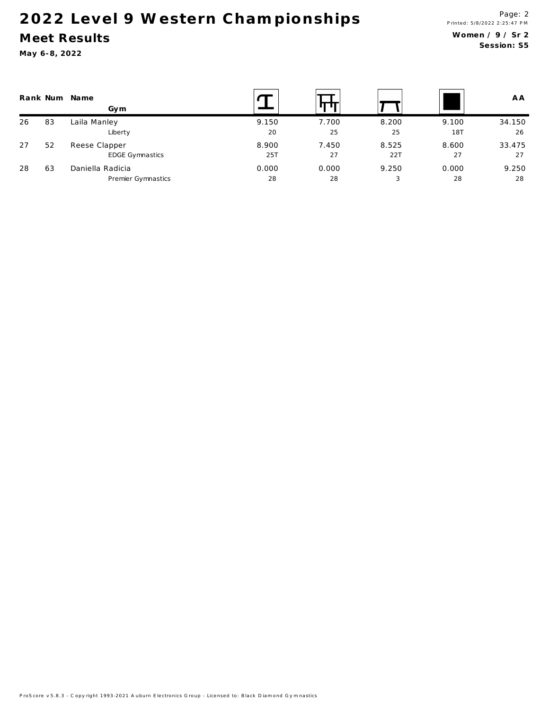### Meet Results

| Rank Num |    | Name<br>Gym            |       |       |       |       | A A    |
|----------|----|------------------------|-------|-------|-------|-------|--------|
| 26       | 83 | Laila Manley           | 9.150 | 7.700 | 8.200 | 9.100 | 34.150 |
|          |    | Liberty                | 20    | 25    | 25    | 18T   | 26     |
| 27       | 52 | Reese Clapper          | 8.900 | 7.450 | 8.525 | 8.600 | 33.475 |
|          |    | <b>EDGE Gymnastics</b> | 25T   | 27    | 22T   | 27    | 27     |
| 28       | 63 | Daniella Radicia       | 0.000 | 0.000 | 9.250 | 0.000 | 9.250  |
|          |    | Premier Gymnastics     | 28    | 28    | 3     | 28    | 28     |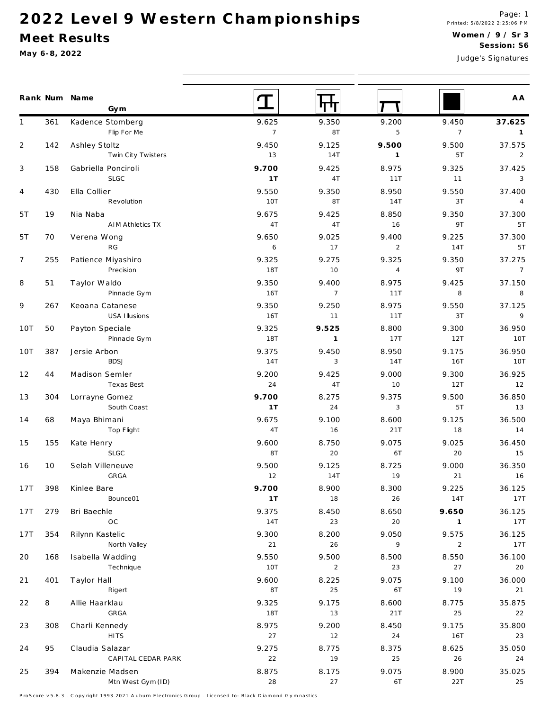#### Meet Results

May 6-8, 2022

|                |     | Rank Num Name    | Gym                     |                |                |                |                | A A             |
|----------------|-----|------------------|-------------------------|----------------|----------------|----------------|----------------|-----------------|
| $\mathbf{1}$   | 361 |                  | Kadence Stomberg        | 9.625          | 9.350          | 9.200          | 9.450          | 37.625          |
|                |     |                  | Flip For Me             | $\overline{7}$ | 8T             | 5              | $\overline{7}$ | $\overline{1}$  |
| $\overline{2}$ | 142 | Ashley Stoltz    |                         | 9.450          | 9.125          | 9.500          | 9.500          | 37.575          |
|                |     |                  | Twin City Twisters      | 13             | <b>14T</b>     | $\overline{1}$ | 5T             | $\overline{2}$  |
| 3              | 158 |                  | Gabriella Ponciroli     | 9.700          | 9.425          | 8.975          | 9.325          | 37.425          |
|                |     |                  | <b>SLGC</b>             | 1T             | 4T             | 11T            | 11             | $\mathbf{3}$    |
| 4              | 430 | Ella Collier     |                         | 9.550          | 9.350          | 8.950          | 9.550          | 37.400          |
|                |     |                  | Revolution              | <b>10T</b>     | 8T             | 14T            | 3T             | $\overline{4}$  |
| 5T             | 19  | Nia Naba         |                         | 9.675          | 9.425          | 8.850          | 9.350          | 37.300          |
|                |     |                  | <b>AIM Athletics TX</b> | 4T             | 4T             | 16             | 9T             | 5T              |
| 5T             | 70  | Verena Wong      |                         | 9.650          | 9.025          | 9.400          | 9.225          | 37.300          |
|                |     |                  | RG                      | 6              | 17             | $\overline{2}$ | 14T            | 5T              |
| $\overline{7}$ | 255 |                  | Patience Miyashiro      | 9.325          | 9.275          | 9.325          | 9.350          | 37.275          |
|                |     |                  | Precision               | <b>18T</b>     | 10             | $\overline{4}$ | 9T             | $7\overline{ }$ |
| 8              | 51  | Taylor Waldo     |                         | 9.350          | 9.400          | 8.975          | 9.425          | 37.150          |
|                |     |                  | Pinnacle Gym            | 16T            | $\overline{7}$ | 11T            | 8              | 8               |
| 9              | 267 |                  | Keoana Catanese         | 9.350          | 9.250          | 8.975          | 9.550          | 37.125          |
|                |     |                  | USA Illusions           | 16T            | 11             | 11T            | 3T             | $\overline{9}$  |
| 10T            | 50  | Payton Speciale  |                         | 9.325          | 9.525          | 8.800          | 9.300          | 36.950          |
|                |     |                  | Pinnacle Gym            | <b>18T</b>     | $\mathbf{1}$   | 17T            | 12T            | 10T             |
| 10T            | 387 | Jersie Arbon     |                         | 9.375          | 9.450          | 8.950          | 9.175          | 36.950          |
|                |     |                  | <b>BDSJ</b>             | 14T            | 3              | 14T            | <b>16T</b>     | <b>10T</b>      |
| 12             | 44  | Madison Semler   |                         | 9.200          | 9.425          | 9.000          | 9.300          | 36.925          |
|                |     |                  | Texas Best              | 24             | 4T             | 10             | 12T            | 12              |
| 13             | 304 | Lorrayne Gomez   |                         | 9.700          | 8.275          | 9.375          | 9.500          | 36.850          |
|                |     |                  | South Coast             | 1T             | 24             | $\mathbf{3}$   | 5T             | 13              |
| 14             | 68  | Maya Bhimani     |                         | 9.675          | 9.100          | 8.600          | 9.125          | 36.500          |
|                |     |                  | Top Flight              | 4T             | 16             | 21T            | 18             | 14              |
| 15             | 155 | Kate Henry       |                         | 9.600          | 8.750          | 9.075          | 9.025          | 36.450          |
|                |     |                  | <b>SLGC</b>             | 8T             | 20             | 6T             | 20             | 15              |
| 16             | 10  | Selah Villeneuve |                         | 9.500          | 9.125          | 8.725          | 9.000          | 36.350          |
|                |     |                  | GRGA                    | 12             | <b>14T</b>     | $19$           | 21             | 16              |
| 17T            | 398 | Kinlee Bare      |                         | 9.700          | 8.900          | 8.300          | 9.225          | 36.125          |
|                |     |                  | Bounce01                | 1T             | 18             | 26             | 14T            | 17T             |
| 17T            | 279 | Bri Baechle      |                         | 9.375          | 8.450          | 8.650          | 9.650          | 36.125          |
|                |     |                  | OC                      | 14T            | 23             | 20             | $\mathbf{1}$   | 17T             |
| 17T            | 354 | Rilynn Kastelic  |                         | 9.300          | 8.200          | 9.050          | 9.575          | 36.125          |
|                |     |                  | North Valley            | 21             | 26             | 9              | $\overline{2}$ | 17T             |
| 20             | 168 |                  | Isabella Wadding        | 9.550          | 9.500          | 8.500          | 8.550          | 36.100          |
|                |     |                  | Technique               | 10T            | $\overline{2}$ | 23             | 27             | 20              |
| 21             | 401 | Taylor Hall      |                         | 9.600          | 8.225          | 9.075          | 9.100          | 36.000          |
|                |     |                  | Rigert                  | 8T             | 25             | 6T             | 19             | 21              |
| 22             | 8   | Allie Haarklau   |                         | 9.325          | 9.175          | 8.600          | 8.775          | 35.875          |
|                |     |                  | GRGA                    | <b>18T</b>     | $13$           | 21T            | 25             | 22              |
| 23             | 308 | Charli Kennedy   |                         | 8.975          | 9.200          | 8.450          | 9.175          | 35.800          |
|                |     |                  | <b>HITS</b>             | 27             | 12             | 24             | <b>16T</b>     | 23              |
| 24             | 95  | Claudia Salazar  |                         | 9.275          | 8.775          | 8.375          | 8.625          | 35.050          |
|                |     |                  | CAPITAL CEDAR PARK      | 22             | 19             | 25             | 26             | 24              |
| 25             | 394 |                  | Makenzie Madsen         | 8.875          | 8.175          | 9.075          | 8.900          | 35.025          |
|                |     |                  | Mtn West Gym (ID)       | 28             | 27             | 6T             | 22T            | 25              |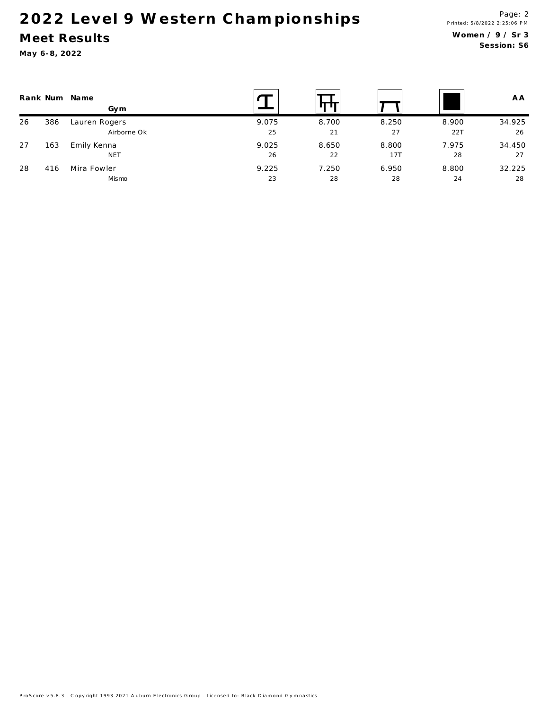### Meet Results

|    |     | Rank Num Name<br>Gym |       |       |       |       | A A    |
|----|-----|----------------------|-------|-------|-------|-------|--------|
| 26 | 386 | Lauren Rogers        | 9.075 | 8.700 | 8.250 | 8.900 | 34.925 |
|    |     | Airborne Ok          | 25    | 21    | 27    | 22T   | 26     |
| 27 | 163 | Emily Kenna          | 9.025 | 8.650 | 8.800 | 7.975 | 34.450 |
|    |     | <b>NET</b>           | 26    | 22    | 17T   | 28    | 27     |
| 28 | 416 | Mira Fowler          | 9.225 | 7.250 | 6.950 | 8.800 | 32.225 |
|    |     | Mismo                | 23    | 28    | 28    | 24    | 28     |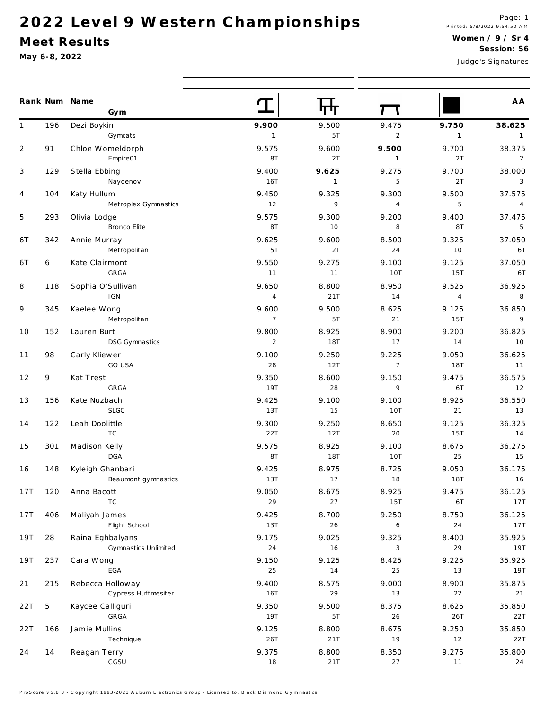#### Meet Results

|                |     | Rank Num Name<br>Gym  |                |              |                |                | A A            |
|----------------|-----|-----------------------|----------------|--------------|----------------|----------------|----------------|
| $\mathbf{1}$   | 196 | Dezi Boykin           | 9.900          | 9.500        | 9.475          | 9.750          | 38.625         |
|                |     | Gymcats               | $\mathbf{1}$   | 5T           | $\overline{2}$ | $\mathbf{1}$   | $\overline{1}$ |
| $\overline{2}$ | 91  | Chloe Womeldorph      | 9.575          | 9.600        | 9.500          | 9.700          | 38.375         |
|                |     | Empire01              | 8T             | 2T           | $\mathbf{1}$   | 2T             | $\overline{2}$ |
| 3              | 129 | Stella Ebbing         | 9.400          | 9.625        | 9.275          | 9.700          | 38.000         |
|                |     | Naydenov              | <b>16T</b>     | $\mathbf{1}$ | 5              | 2T             | $\mathbf{3}$   |
| 4              | 104 | Katy Hullum           | 9.450          | 9.325        | 9.300          | 9.500          | 37.575         |
|                |     | Metroplex Gymnastics  | 12             | 9            | $\overline{4}$ | 5              | $\overline{4}$ |
| 5              | 293 | Olivia Lodge          | 9.575          | 9.300        | 9.200          | 9.400          | 37.475         |
|                |     | <b>Bronco Elite</b>   | 8T             | 10           | 8              | 8T             | 5              |
| 6T             | 342 | Annie Murray          | 9.625          | 9.600        | 8.500          | 9.325          | 37.050         |
|                |     | Metropolitan          | 5T             | 2T           | 24             | 10             | 6T             |
| 6 T            | 6   | Kate Clairmont        | 9.550          | 9.275        | 9.100          | 9.125          | 37.050         |
|                |     | GRGA                  | 11             | 11           | <b>10T</b>     | 15T            | 6T             |
| 8              | 118 | Sophia O'Sullivan     | 9.650          | 8.800        | 8.950          | 9.525          | 36.925         |
|                |     | <b>IGN</b>            | $\sqrt{4}$     | 21T          | 14             | $\overline{4}$ | 8              |
| 9              | 345 | Kaelee Wong           | 9.600          | 9.500        | 8.625          | 9.125          | 36.850         |
|                |     | Metropolitan          | $\overline{7}$ | 5T           | 21             | 15T            | $\overline{9}$ |
| 10             | 152 | Lauren Burt           | 9.800          | 8.925        | 8.900          | 9.200          | 36.825         |
|                |     | <b>DSG Gymnastics</b> | $\overline{2}$ | <b>18T</b>   | 17             | 14             | 10             |
| 11             | 98  | Carly Kliewer         | 9.100          | 9.250        | 9.225          | 9.050          | 36.625         |
|                |     | GO USA                | 28             | 12T          | $\overline{7}$ | <b>18T</b>     | 11             |
| 12             | 9   | Kat Trest             | 9.350          | 8.600        | 9.150          | 9.475          | 36.575         |
|                |     | GRGA                  | 19T            | 28           | 9              | 6T             | 12             |
| 13             | 156 | Kate Nuzbach          | 9.425          | 9.100        | 9.100          | 8.925          | 36.550         |
|                |     | <b>SLGC</b>           | 13T            | 15           | <b>10T</b>     | 21             | 13             |
| 14             | 122 | Leah Doolittle        | 9.300          | 9.250        | 8.650          | 9.125          | 36.325         |
|                |     | <b>TC</b>             | 22T            | 12T          | 20             | 15T            | 14             |
| 15             | 301 | Madison Kelly         | 9.575          | 8.925        | 9.100          | 8.675          | 36.275         |
|                |     | DGA                   | 8T             | 18T          | <b>10T</b>     | 25             | 15             |
| 16             | 148 | Kyleigh Ghanbari      | 9.425          | 8.975        | 8.725          | 9.050          | 36.175         |
|                |     | Beaumont gymnastics   | 13T            | 17           | 18             | <b>18T</b>     | 16             |
| 17T            | 120 | Anna Bacott           | 9.050          | 8.675        | 8.925          | 9.475          | 36.125         |
|                |     | TC                    | 29             | 27           | 15T            | 6T             | 17T            |
| 17T            | 406 | Maliyah James         | 9.425          | 8.700        | 9.250          | 8.750          | 36.125         |
|                |     | Flight School         | 13T            | 26           | 6              | 24             | 17T            |
| 19T            | 28  | Raina Eghbalyans      | 9.175          | 9.025        | 9.325          | 8.400          | 35.925         |
|                |     | Gymnastics Unlimited  | 24             | 16           | 3              | 29             | 19T            |
| 19T            | 237 | Cara Wong             | 9.150          | 9.125        | 8.425          | 9.225          | 35.925         |
|                |     | EGA                   | 25             | 14           | $2\sqrt{5}$    | 13             | 19T            |
| 21             | 215 | Rebecca Holloway      | 9.400          | 8.575        | 9.000          | 8.900          | 35.875         |
|                |     | Cypress Huffmesiter   | 16T            | 29           | 13             | 22             | 21             |
| 22T            | 5   | Kaycee Calliguri      | 9.350          | 9.500        | 8.375          | 8.625          | 35.850         |
|                |     | GRGA                  | 19T            | 5T           | $26\,$         | 26T            | 22T            |
| 22T            | 166 | Jamie Mullins         | 9.125          | 8.800        | 8.675          | 9.250          | 35.850         |
|                |     | Technique             | 26T            | 21T          | 19             | 12             | 22T            |
| 24             | 14  | Reagan Terry          | 9.375          | 8.800        | 8.350          | 9.275          | 35.800         |
|                |     | CGSU                  | 18             | 21T          | 27             | 11             | 24             |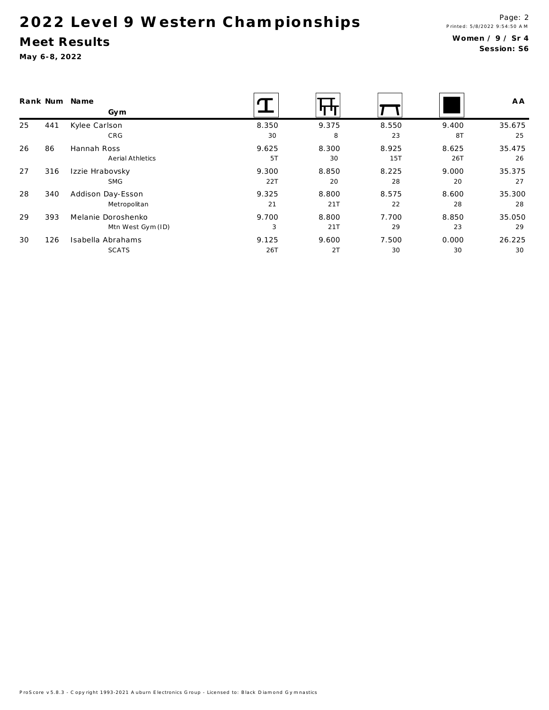#### Meet Results

| Rank Num |     | Name<br>Gym        |       |       |       |       | A A    |
|----------|-----|--------------------|-------|-------|-------|-------|--------|
| 25       | 441 | Kylee Carlson      | 8.350 | 9.375 | 8.550 | 9.400 | 35.675 |
|          |     | CRG                | 30    | 8     | 23    | 8T    | 25     |
| 26       | 86  | Hannah Ross        | 9.625 | 8.300 | 8.925 | 8.625 | 35.475 |
|          |     | Aerial Athletics   | 5T    | 30    | 15T   | 26T   | 26     |
| 27       | 316 | Izzie Hrabovsky    | 9.300 | 8.850 | 8.225 | 9.000 | 35.375 |
|          |     | <b>SMG</b>         | 22T   | 20    | 28    | 20    | 27     |
| 28       | 340 | Addison Day-Esson  | 9.325 | 8.800 | 8.575 | 8.600 | 35.300 |
|          |     | Metropolitan       | 21    | 21T   | 22    | 28    | 28     |
| 29       | 393 | Melanie Doroshenko | 9.700 | 8.800 | 7.700 | 8.850 | 35.050 |
|          |     | Mtn West Gym (ID)  | 3     | 21T   | 29    | 23    | 29     |
| 30       | 126 | Isabella Abrahams  | 9.125 | 9.600 | 7.500 | 0.000 | 26.225 |
|          |     | <b>SCATS</b>       | 26T   | 2T    | 30    | 30    | 30     |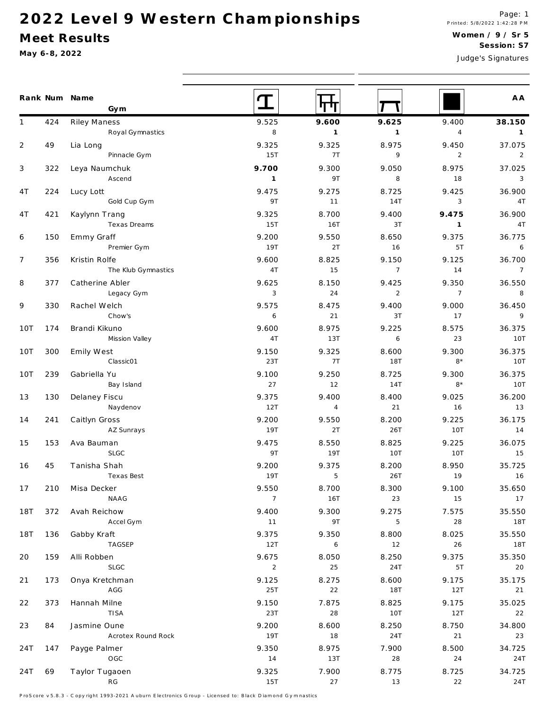#### Meet Results

May 6-8, 2022

|                |     | Rank Num Name<br>Gym |                | गण             |                |                | A A            |
|----------------|-----|----------------------|----------------|----------------|----------------|----------------|----------------|
| 1              | 424 | Riley Maness         | 9.525          | 9.600          | 9.625          | 9.400          | 38.150         |
|                |     | Royal Gymnastics     | 8              | $\mathbf{1}$   | $\mathbf{1}$   | $\overline{4}$ | $\mathbf{1}$   |
| $\overline{2}$ | 49  | Lia Long             | 9.325          | 9.325          | 8.975          | 9.450          | 37.075         |
|                |     | Pinnacle Gym         | 15T            | 7T             | 9              | $\overline{2}$ | 2              |
| 3              | 322 | Leya Naumchuk        | 9.700          | 9.300          | 9.050          | 8.975          | 37.025         |
|                |     | Ascend               | $\mathbf{1}$   | 9T             | 8              | 18             | 3              |
| 4 T            | 224 | Lucy Lott            | 9.475          | 9.275          | 8.725          | 9.425          | 36.900         |
|                |     | Gold Cup Gym         | 9T             | 11             | 14T            | $\mathbf{3}$   | 4T             |
| 4 T            | 421 | Kaylynn Trang        | 9.325          | 8.700          | 9.400          | 9.475          | 36.900         |
|                |     | Texas Dreams         | 15T            | 16T            | 3T             | $\overline{1}$ | 4T             |
| 6              | 150 | Emmy Graff           | 9.200          | 9.550          | 8.650          | 9.375          | 36.775         |
|                |     | Premier Gym          | 19T            | 2T             | 16             | 5T             | 6              |
| $\overline{7}$ | 356 | Kristin Rolfe        | 9.600          | 8.825          | 9.150          | 9.125          | 36.700         |
|                |     | The Klub Gymnastics  | 4T             | 15             | $\overline{7}$ | 14             | $\overline{7}$ |
| 8              | 377 | Catherine Abler      | 9.625          | 8.150          | 9.425          | 9.350          | 36.550         |
|                |     | Legacy Gym           | 3              | 24             | 2              | $\overline{7}$ | 8              |
| 9              | 330 | Rachel Welch         | 9.575          | 8.475          | 9.400          | 9.000          | 36.450         |
|                |     | Chow's               | 6              | 21             | 3T             | 17             | 9              |
| 10T            | 174 | Brandi Kikuno        | 9.600          | 8.975          | 9.225          | 8.575          | 36.375         |
|                |     | Mission Valley       | 4T             | 13T            | 6              | 23             | 10T            |
| 10T            | 300 | Emily West           | 9.150          | 9.325          | 8.600          | 9.300          | 36.375         |
|                |     | Classic01            | 23T            | 7T             | <b>18T</b>     | $8*$           | 10T            |
| 10T            | 239 | Gabriella Yu         | 9.100          | 9.250          | 8.725          | 9.300          | 36.375         |
|                |     | Bay Island           | 27             | 12             | 14T            | $8*$           | 10T            |
| 13             | 130 | Delaney Fiscu        | 9.375          | 9.400          | 8.400          | 9.025          | 36.200         |
|                |     | Naydenov             | 12T            | $\overline{4}$ | 21             | 16             | 13             |
| 14             | 241 | Caitlyn Gross        | 9.200          | 9.550          | 8.200          | 9.225          | 36.175         |
|                |     | AZ Sunrays           | 19T            | 2T             | 26T            | <b>10T</b>     | 14             |
| 15             | 153 | Ava Bauman           | 9.475          | 8.550          | 8.825          | 9.225          | 36.075         |
|                |     | SLGC                 | 9T             | 19T            | <b>10T</b>     | 10T            | 15             |
| 16             | 45  | Tanisha Shah         | 9.200          | 9.375          | 8.200          | 8.950          | 35.725         |
|                |     | Texas Best           | 19T            | 5              | 26T            | 19             | 16             |
| 17             | 210 | Misa Decker          | 9.550          | 8.700          | 8.300          | 9.100          | 35.650         |
|                |     | NAAG                 | $\overline{7}$ | 16T            | 23             | 15             | 17             |
| 18T            | 372 | Avah Reichow         | 9.400          | 9.300          | 9.275          | 7.575          | 35.550         |
|                |     | Accel Gym            | 11             | 9T             | 5              | $2\,8$         | 18T            |
| 18T            | 136 | Gabby Kraft          | 9.375          | 9.350          | 8.800          | 8.025          | 35.550         |
|                |     | TAGSEP               | 12T            | 6              | 12             | $26\,$         | 18T            |
| 20             | 159 | Alli Robben          | 9.675          | 8.050          | 8.250          | 9.375          | 35.350         |
|                |     | <b>SLGC</b>          | $\overline{2}$ | 25             | 24T            | 5T             | 20             |
| 21             | 173 | Onya Kretchman       | 9.125          | 8.275          | 8.600          | 9.175          | 35.175         |
|                |     | AGG                  | 25T            | 22             | 18T            | 12T            | 21             |
| 22             | 373 | Hannah Milne         | 9.150          | 7.875          | 8.825          | 9.175          | 35.025         |
|                |     | TISA                 | 23T            | 28             | 10T            | 12T            | 22             |
| 23             | 84  | Jasmine Oune         | 9.200          | 8.600          | 8.250          | 8.750          | 34.800         |
|                |     | Acrotex Round Rock   | 19T            | 18             | 24T            | 21             | 23             |
| 24T            | 147 | Payge Palmer         | 9.350          | 8.975          | 7.900          | 8.500          | 34.725         |
|                |     | OGC                  | 14             | 13T            | 28             | 24             | 24T            |
| 24T            | 69  | Taylor Tugaoen       | 9.325          | 7.900          | 8.775          | 8.725          | 34.725         |
|                |     | RG                   | 15T            | 27             | 13             | 22             | 24T            |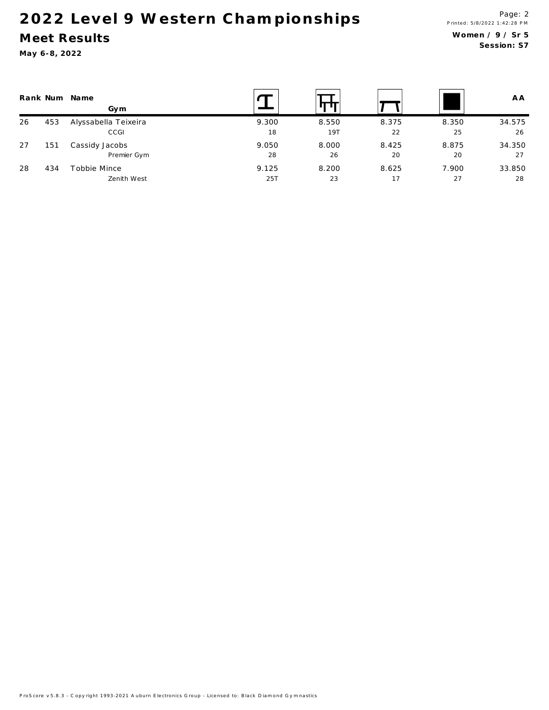### Meet Results

| Rank Num |     | Name<br>Gym          |       |       |       |       | A A    |
|----------|-----|----------------------|-------|-------|-------|-------|--------|
| 26       | 453 | Alyssabella Teixeira | 9.300 | 8.550 | 8.375 | 8.350 | 34.575 |
|          |     | CCGI                 | 18    | 19T   | 22    | 25    | 26     |
| 27       | 151 | Cassidy Jacobs       | 9.050 | 8.000 | 8.425 | 8.875 | 34.350 |
|          |     | Premier Gym          | 28    | 26    | 20    | 20    | 27     |
| 28       | 434 | Tobbie Mince         | 9.125 | 8.200 | 8.625 | 7.900 | 33.850 |
|          |     | Zenith West          | 25T   | 23    | 17    | 27    | 28     |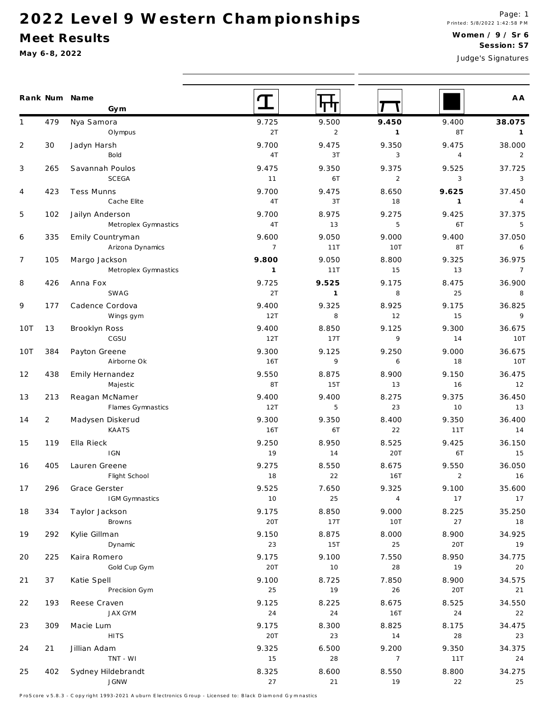#### Meet Results

May 6-8, 2022

|                |                | Rank Num Name<br>Gym         |                     |                |                |                | A A                  |
|----------------|----------------|------------------------------|---------------------|----------------|----------------|----------------|----------------------|
| 1              | 479            | Nya Samora                   | 9.725               | 9.500          | 9.450          | 9.400          | 38.075               |
|                |                | Olympus                      | 2T                  | $\overline{2}$ | $\mathbf{1}$   | 8T             | $\overline{1}$       |
| $\overline{2}$ | 30             | Jadyn Harsh                  | 9.700               | 9.475          | 9.350          | 9.475          | 38.000               |
|                |                | Bold                         | 4T                  | 3T             | 3              | $\overline{4}$ | 2                    |
| 3              | 265            | Savannah Poulos              | 9.475               | 9.350          | 9.375          | 9.525          | 37.725               |
|                |                | SCEGA                        | 11                  | 6T             | $\overline{2}$ | 3              | $\overline{3}$       |
| 4              | 423            | <b>Tess Munns</b>            | 9.700               | 9.475          | 8.650          | 9.625          | 37.450               |
|                |                | Cache Elite                  | 4T                  | 3T             | 18             | $\mathbf{1}$   | $\overline{4}$       |
| 5              | 102            | Jailyn Anderson              | 9.700               | 8.975          | 9.275          | 9.425          | 37.375               |
|                |                | Metroplex Gymnastics         | 4T                  | 13             | 5              | 6T             | $5^{\circ}$          |
| 6              | 335            | Emily Countryman             | 9.600               | 9.050          | 9.000          | 9.400          | 37.050               |
|                |                | Arizona Dynamics             | $\overline{7}$      | 11T            | 10T            | 8T             | $6\overline{6}$      |
| $\overline{7}$ | 105            | Margo Jackson                | 9.800               | 9.050          | 8.800          | 9.325          | 36.975               |
|                |                | Metroplex Gymnastics         | $\mathbf{1}$        | 11T            | 15             | 13             | $\overline{7}$       |
| 8              | 426            | Anna Fox                     | 9.725               | 9.525          | 9.175          | 8.475          | 36.900               |
|                |                | SWAG                         | 2T                  | $\mathbf{1}$   | 8              | 25             | 8                    |
| 9              | 177            | Cadence Cordova              | 9.400<br>12T        | 9.325<br>8     | 8.925<br>12    | 9.175          | 36.825<br>9          |
|                |                | Wings gym                    |                     |                |                | 15             |                      |
| 10T            | 13             | Brooklyn Ross<br>CGSU        | 9.400<br>12T        | 8.850<br>17T   | 9.125<br>9     | 9.300<br>14    | 36.675<br><b>10T</b> |
|                |                |                              |                     |                |                |                |                      |
| 10T            | 384            | Payton Greene<br>Airborne Ok | 9.300<br><b>16T</b> | 9.125<br>9     | 9.250<br>6     | 9.000<br>18    | 36.675<br>10T        |
| 12             | 438            |                              | 9.550               | 8.875          | 8.900          | 9.150          | 36.475               |
|                |                | Emily Hernandez<br>Majestic  | 8T                  | 15T            | 13             | 16             | 12                   |
| 13             | 213            | Reagan McNamer               | 9.400               | 9.400          | 8.275          | 9.375          | 36.450               |
|                |                | Flames Gymnastics            | 12T                 | 5              | 23             | 10             | 13                   |
| 14             | $\overline{2}$ | Madysen Diskerud             | 9.300               | 9.350          | 8.400          | 9.350          | 36.400               |
|                |                | KAATS                        | <b>16T</b>          | 6T             | 22             | 11T            | 14                   |
| 15             | 119            | Ella Rieck                   | 9.250               | 8.950          | 8.525          | 9.425          | 36.150               |
|                |                | <b>IGN</b>                   | 19                  | 14             | 20T            | 6T             | 15                   |
| 16             | 405            | Lauren Greene                | 9.275               | 8.550          | 8.675          | 9.550          | 36.050               |
|                |                | Flight School                | 18                  | 22             | <b>16T</b>     | $\overline{2}$ | 16                   |
| 17             | 296            | Grace Gerster                | 9.525               | 7.650          | 9.325          | 9.100          | 35.600               |
|                |                | IGM Gymnastics               | 10                  | 25             | $\overline{4}$ | 17             | 17                   |
| 18             | 334            | Taylor Jackson               | 9.175               | 8.850          | 9.000          | 8.225          | 35.250               |
|                |                | Browns                       | 20T                 | 17T            | <b>10T</b>     | 27             | 18                   |
| 19             | 292            | Kylie Gillman                | 9.150               | 8.875          | 8.000          | 8.900          | 34.925               |
|                |                | Dynamic                      | 23                  | 15T            | 25             | 20T            | 19                   |
| 20             | 225            | Kaira Romero                 | 9.175               | 9.100          | 7.550          | 8.950          | 34.775               |
|                |                | Gold Cup Gym                 | 20T                 | 10             | $2\,8$         | 19             | 20                   |
| 21             | 37             | Katie Spell                  | 9.100               | 8.725          | 7.850          | 8.900          | 34.575               |
|                |                | Precision Gym                | 25                  | 19             | 26             | 20T            | 21                   |
| 22             | 193            | Reese Craven                 | 9.125               | 8.225          | 8.675          | 8.525          | 34.550               |
|                |                | <b>JAX GYM</b>               | $2\,4$              | 24             | 16T            | 24             | 22                   |
| 23             | 309            | Macie Lum                    | 9.175               | 8.300          | 8.825          | 8.175          | 34.475               |
|                |                | <b>HITS</b>                  | 20T                 | 23             | 14             | $2\,8$         | 23                   |
| 24             | 21             | Jillian Adam                 | 9.325               | 6.500          | 9.200          | 9.350          | 34.375               |
|                |                | TNT - WI                     | 15                  | 28             | $\overline{7}$ | 11T            | 24                   |
| 25             | 402            | Sydney Hildebrandt           | 8.325               | 8.600          | 8.550          | 8.800          | 34.275               |
|                |                | <b>IGNW</b>                  | 27                  | 21             | 19             | 22             | 25                   |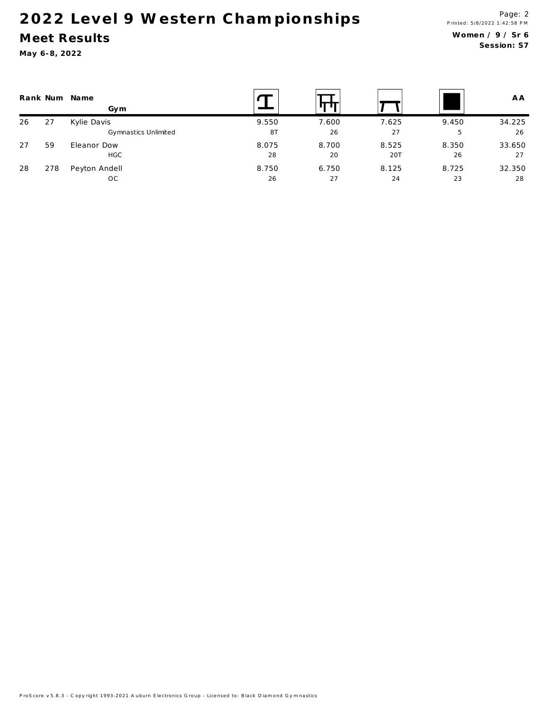### Meet Results

|    |     | Rank Num Name<br>Gym |       |       |       |       | A A    |
|----|-----|----------------------|-------|-------|-------|-------|--------|
| 26 | 27  | Kylie Davis          | 9.550 | 7.600 | 7.625 | 9.450 | 34.225 |
|    |     | Gymnastics Unlimited | 8T    | 26    | 27    | 5     | 26     |
| 27 | 59  | Eleanor Dow          | 8.075 | 8.700 | 8.525 | 8.350 | 33.650 |
|    |     | <b>HGC</b>           | 28    | 20    | 20T   | 26    | 27     |
| 28 | 278 | Peyton Andell        | 8.750 | 6.750 | 8.125 | 8.725 | 32.350 |
|    |     | OC.                  | 26    | 27    | 24    | 23    | 28     |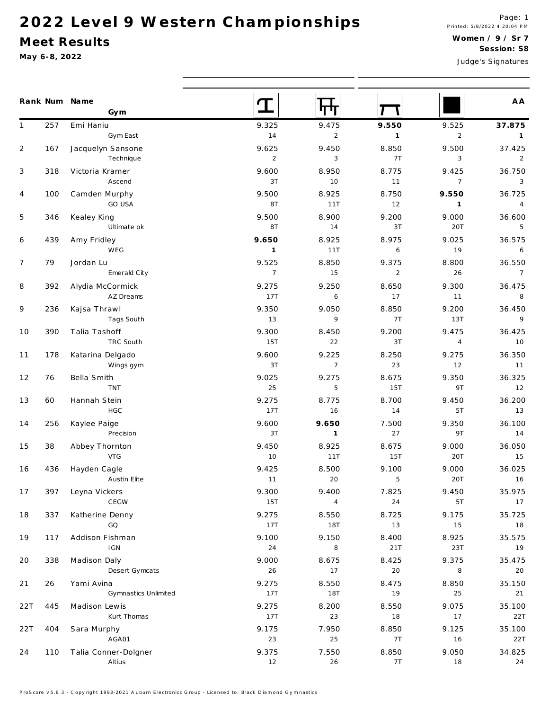### Meet Results

|                |     | Rank Num Name<br>Gym               |                         |                         |                         |                         | A A                       |
|----------------|-----|------------------------------------|-------------------------|-------------------------|-------------------------|-------------------------|---------------------------|
| $\mathbf{1}$   | 257 | Emi Haniu                          | 9.325                   | 9.475                   | 9.550                   | 9.525                   | 37.875                    |
|                |     | Gym East                           | $14$                    | $\overline{2}$          | $\overline{1}$          | $\overline{2}$          | $\overline{1}$            |
| $\overline{2}$ | 167 | Jacquelyn Sansone<br>Technique     | 9.625<br>$\overline{2}$ | 9.450<br>$\sqrt{3}$     | 8.850<br>7T             | 9.500<br>3              | 37.425<br>$\overline{2}$  |
| 3              | 318 | Victoria Kramer<br>Ascend          | 9.600<br>3T             | 8.950<br>10             | 8.775<br>11             | 9.425<br>$\overline{7}$ | 36.750<br>3               |
| 4              | 100 | Camden Murphy<br>GO USA            | 9.500<br>8T             | 8.925<br>11T            | 8.750<br>12             | 9.550<br>$\mathbf{1}$   | 36.725<br>$\overline{4}$  |
| 5              | 346 | Kealey King<br>Ultimate ok         | 9.500<br>8T             | 8.900<br>14             | 9.200<br>3T             | 9.000<br>20T            | 36.600<br>$5\phantom{.0}$ |
| 6              | 439 | Amy Fridley                        | 9.650                   | 8.925                   | 8.975                   | 9.025                   | 36.575                    |
|                |     | WEG                                | $\mathbf{1}$            | 11T                     | $\boldsymbol{6}$        | 19                      | $\overline{6}$            |
| $\overline{7}$ | 79  | Jordan Lu<br>Emerald City          | 9.525<br>$\overline{7}$ | 8.850<br>15             | 9.375<br>$\overline{2}$ | 8.800<br>26             | 36.550<br>$7\overline{ }$ |
| 8              | 392 | Alydia McCormick                   | 9.275                   | 9.250                   | 8.650                   | 9.300                   | 36.475                    |
|                |     | AZ Dreams                          | 17T                     | 6                       | 17                      | 11                      | $\, 8$                    |
| 9              | 236 | Kajsa Thrawl                       | 9.350                   | 9.050                   | 8.850                   | 9.200                   | 36.450                    |
|                |     | Tags South                         | $13$                    | 9                       | 7T                      | 13T                     | $\overline{9}$            |
| 10             | 390 | Talia Tashoff<br>TRC South         | 9.300<br>15T            | 8.450<br>22             | 9.200<br>3T             | 9.475<br>$\overline{4}$ | 36.425<br>10              |
| 11             | 178 | Katarina Delgado<br>Wings gym      | 9.600<br>3T             | 9.225<br>$\overline{7}$ | 8.250<br>23             | 9.275<br>12             | 36.350<br>11              |
| 12             | 76  | Bella Smith<br><b>TNT</b>          | 9.025<br>25             | 9.275<br>$\sqrt{5}$     | 8.675<br>15T            | 9.350<br>9T             | 36.325<br>12              |
| 13             | 60  | Hannah Stein                       | 9.275                   | 8.775                   | 8.700                   | 9.450                   | 36.200                    |
|                |     | HGC                                | 17T                     | 16                      | 14                      | 5T                      | 13                        |
| 14             | 256 | Kaylee Paige<br>Precision          | 9.600<br>3T             | 9.650<br>$\mathbf{1}$   | 7.500<br>27             | 9.350<br>9T             | 36.100<br>14              |
| 15             | 38  | Abbey Thornton                     | 9.450                   | 8.925                   | 8.675                   | 9.000                   | 36.050                    |
|                |     | <b>VTG</b>                         | 10                      | 11T                     | <b>15T</b>              | 20T                     | 15                        |
| 16             | 436 | Hayden Cagle                       | 9.425                   | 8.500                   | 9.100                   | 9.000                   | 36.025                    |
|                |     | <b>Austin Elite</b>                | 11                      | 20                      | 5                       | 20T                     | 16                        |
| 17             | 397 | Leyna Vickers                      | 9.300                   | 9.400                   | 7.825                   | 9.450                   | 35.975                    |
|                |     | CEGW                               | 15T                     | 4                       | $2\,4$                  | 5T                      | 17                        |
| 18             | 337 | Katherine Denny<br>GQ              | 9.275<br>17T            | 8.550<br><b>18T</b>     | 8.725<br>13             | 9.175<br>15             | 35.725<br>18              |
| 19             | 117 | Addison Fishman                    | 9.100                   | 9.150                   | 8.400                   | 8.925                   | 35.575                    |
|                |     | <b>IGN</b>                         | 24                      | 8                       | 21T                     | 23T                     | 19                        |
| 20             | 338 | Madison Daly                       | 9.000                   | 8.675                   | 8.425                   | 9.375                   | 35.475                    |
|                |     | Desert Gymcats                     | 26                      | 17                      | $20\,$                  | 8                       | 20                        |
| 21             | 26  | Yami Avina<br>Gymnastics Unlimited | 9.275<br>17T            | 8.550<br><b>18T</b>     | 8.475<br>19             | 8.850<br>25             | 35.150<br>21              |
| 22T            | 445 | Madison Lewis                      | 9.275                   | 8.200                   | 8.550                   | 9.075                   | 35.100                    |
|                |     | Kurt Thomas                        | 17T                     | 23                      | 18                      | 17                      | 22T                       |
| 22T            | 404 | Sara Murphy                        | 9.175                   | 7.950                   | 8.850                   | 9.125                   | 35.100                    |
|                |     | AGA01                              | 23                      | $2\sqrt{5}$             | 7T                      | 16                      | 22T                       |
| 24             | 110 | Talia Conner-Dolgner<br>Altius     | 9.375<br>12             | 7.550<br>26             | 8.850<br>7T             | 9.050<br>18             | 34.825<br>24              |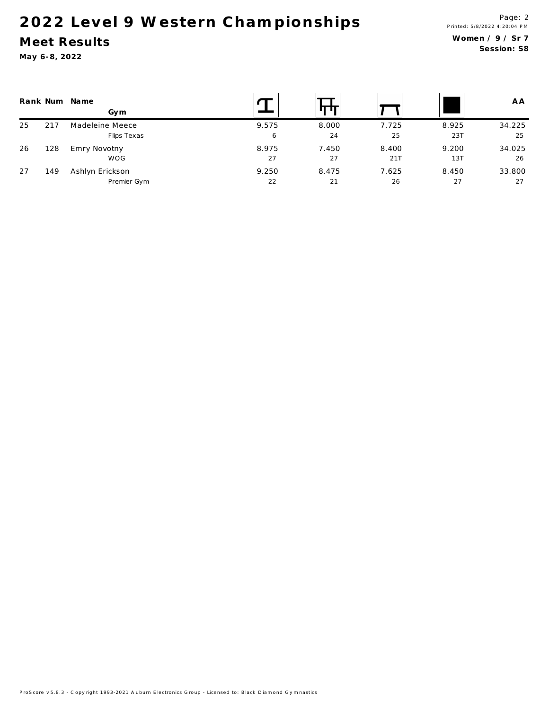### Meet Results

|    |     | Rank Num Name<br>Gym |       |       |       |       | A A    |
|----|-----|----------------------|-------|-------|-------|-------|--------|
| 25 | 217 | Madeleine Meece      | 9.575 | 8.000 | 7.725 | 8.925 | 34.225 |
|    |     | Flips Texas          | 6     | 24    | 25    | 23T   | 25     |
| 26 | 128 | Emry Novotny         | 8.975 | 7.450 | 8.400 | 9.200 | 34.025 |
|    |     | WOG                  | 27    | 27    | 21T   | 13T   | 26     |
| 27 | 149 | Ashlyn Erickson      | 9.250 | 8.475 | 7.625 | 8.450 | 33.800 |
|    |     | Premier Gym          | 22    | 21    | 26    | 27    | 27     |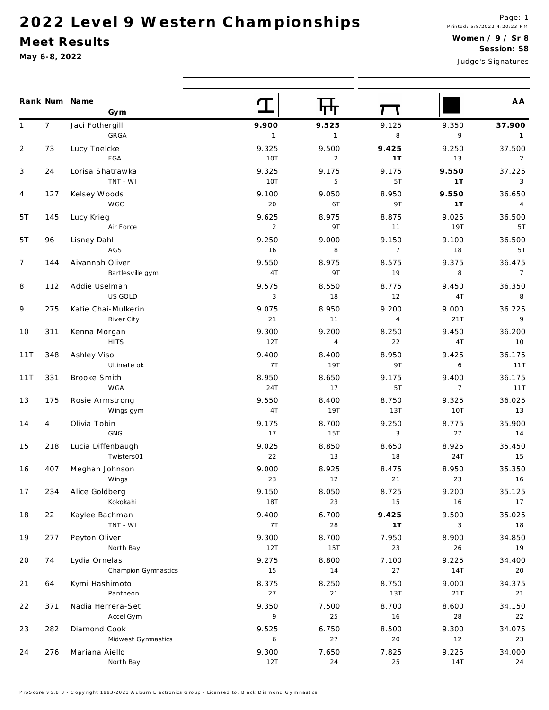### Meet Results

|                |                | Rank Num Name<br>Gym         |                         |                         |                  |                          | A A                      |
|----------------|----------------|------------------------------|-------------------------|-------------------------|------------------|--------------------------|--------------------------|
| $\mathbf{1}$   | 7 <sup>7</sup> | Jaci Fothergill<br>GRGA      | 9.900<br>$\overline{1}$ | 9.525<br>$\overline{1}$ | 9.125<br>$\,8\,$ | 9.350<br>9               | 37.900                   |
|                | 73             | Lucy Toelcke                 | 9.325                   | 9.500                   |                  | 9.250                    | $\overline{1}$           |
| $\overline{2}$ |                | FGA                          | 10T                     | 2                       | 9.425<br>1T      | 13                       | 37.500<br>$\overline{2}$ |
| 3              | 24             | Lorisa Shatrawka             | 9.325                   | 9.175                   | 9.175            | 9.550                    | 37.225                   |
|                |                | TNT - WI                     | 10T                     | 5                       | 5T               | 1T                       | $\overline{3}$           |
| 4              | 127            | Kelsey Woods                 | 9.100                   | 9.050                   | 8.950            | 9.550                    | 36.650                   |
|                |                | <b>WGC</b>                   | 20                      | 6T                      | 9T               | 1T                       | $\overline{4}$           |
| 5T             | 145            | Lucy Krieg                   | 9.625                   | 8.975                   | 8.875            | 9.025                    | 36.500                   |
|                |                | Air Force                    | 2                       | 9T                      | 11               | 19T                      | 5T                       |
| 5T             | 96             | Lisney Dahl                  | 9.250                   | 9.000                   | 9.150            | 9.100                    | 36.500                   |
|                |                | AGS                          | 16                      | 8                       | $\overline{7}$   | 18                       | 5T                       |
| $\overline{7}$ | 144            | Aiyannah Oliver              | 9.550                   | 8.975                   | 8.575            | 9.375                    | 36.475                   |
|                |                | Bartlesville gym             | 4T                      | 9T                      | 19               | 8                        | $\overline{7}$           |
| 8              | 112            | Addie Uselman                | 9.575                   | 8.550                   | 8.775            | 9.450                    | 36.350                   |
|                |                | US GOLD                      | $\sqrt{3}$              | 18                      | 12               | 4T                       | 8                        |
| 9              | 275            | Katie Chai-Mulkerin          | 9.075                   | 8.950                   | 9.200            | 9.000                    | 36.225                   |
|                |                | River City                   | 21                      | 11                      | $\overline{4}$   | 21T                      | $\overline{9}$           |
| 10             | 311            | Kenna Morgan                 | 9.300                   | 9.200                   | 8.250            | 9.450                    | 36.200                   |
|                |                | <b>HITS</b>                  | 12T                     | $\overline{4}$          | 22               | 4T                       | 10                       |
| 11T            | 348            | Ashley Viso                  | 9.400                   | 8.400<br>19T            | 8.950<br>9T      | 9.425<br>6               | 36.175                   |
|                |                | Ultimate ok                  | 7T                      |                         |                  |                          | 11T                      |
| 11T            | 331            | Brooke Smith<br><b>WGA</b>   | 8.950<br>24T            | 8.650<br>17             | 9.175<br>5T      | 9.400<br>$7\overline{ }$ | 36.175<br>11T            |
|                |                |                              |                         |                         |                  |                          | 36.025                   |
| 13             | 175            | Rosie Armstrong<br>Wings gym | 9.550<br>4T             | 8.400<br>19T            | 8.750<br>13T     | 9.325<br>10T             | 13                       |
| 14             | $\overline{4}$ | Olivia Tobin                 | 9.175                   | 8.700                   | 9.250            | 8.775                    | 35.900                   |
|                |                | GNG                          | 17                      | 15T                     | 3                | 27                       | 14                       |
| 15             | 218            | Lucia Diffenbaugh            | 9.025                   | 8.850                   | 8.650            | 8.925                    | 35.450                   |
|                |                | Twisters01                   | 22                      | 13                      | 18               | 24T                      | 15                       |
| 16             | 407            | Meghan Johnson               | 9.000                   | 8.925                   | 8.475            | 8.950                    | 35.350                   |
|                |                | Wings                        | 23                      | 12                      | 21               | 23                       | 16                       |
| 17             | 234            | Alice Goldberg               | 9.150                   | 8.050                   | 8.725            | 9.200                    | 35.125                   |
|                |                | Kokokahi                     | 18T                     | 23                      | 15               | 16                       | 17                       |
| 18             | 22             | Kaylee Bachman               | 9.400                   | 6.700                   | 9.425            | 9.500                    | 35.025                   |
|                |                | TNT - WI                     | 7T                      | 28                      | 1T               | 3                        | 18                       |
| 19             | 277            | Peyton Oliver                | 9.300                   | 8.700                   | 7.950            | 8.900                    | 34.850                   |
|                |                | North Bay                    | 12T                     | 15T                     | 23               | 26                       | 19                       |
| 20             | 74             | Lydia Ornelas                | 9.275                   | 8.800                   | 7.100            | 9.225                    | 34.400                   |
|                |                | Champion Gymnastics          | 15                      | 14                      | 27               | 14T                      | 20                       |
| 21             | 64             | Kymi Hashimoto               | 8.375                   | 8.250                   | 8.750            | 9.000                    | 34.375                   |
|                |                | Pantheon                     | 27                      | 21                      | 13T              | 21T                      | 21                       |
| 22             | 371            | Nadia Herrera-Set            | 9.350                   | 7.500                   | 8.700            | 8.600                    | 34.150                   |
|                |                | Accel Gym                    | 9                       | 25                      | 16               | 28                       | 22                       |
| 23             | 282            | Diamond Cook                 | 9.525                   | 6.750                   | 8.500            | 9.300                    | 34.075                   |
|                |                | Midwest Gymnastics           | 6                       | 27                      | 20               | 12                       | 23                       |
| $24$           | 276            | Mariana Aiello<br>North Bay  | 9.300<br>12T            | 7.650<br>24             | 7.825<br>25      | 9.225<br>14T             | 34.000<br>24             |
|                |                |                              |                         |                         |                  |                          |                          |